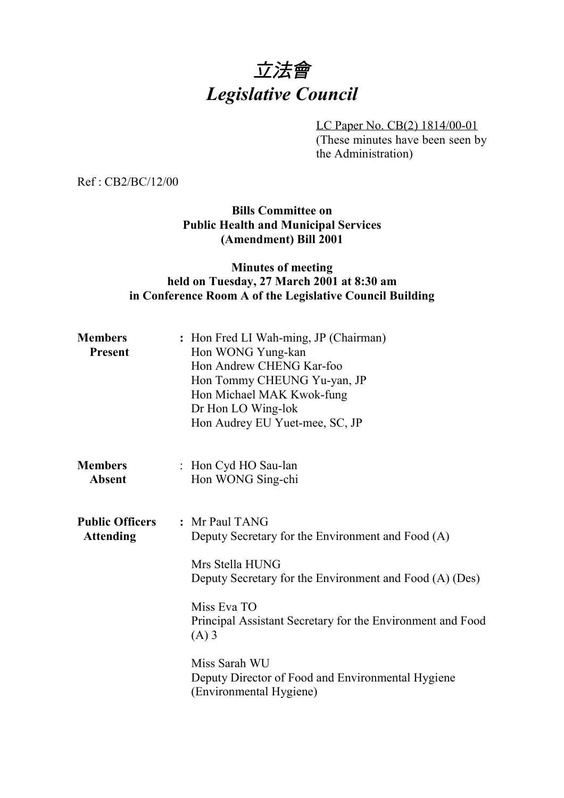# 立法會 *Legislative Council*

LC Paper No. CB(2) 1814/00-01 (These minutes have been seen by the Administration)

Ref : CB2/BC/12/00

## **Bills Committee on Public Health and Municipal Services (Amendment) Bill 2001**

## **Minutes of meeting held on Tuesday, 27 March 2001 at 8:30 am in Conference Room A of the Legislative Council Building**

| <b>Members</b><br><b>Present</b>           | : Hon Fred LI Wah-ming, JP (Chairman)<br>Hon WONG Yung-kan<br>Hon Andrew CHENG Kar-foo<br>Hon Tommy CHEUNG Yu-yan, JP<br>Hon Michael MAK Kwok-fung<br>Dr Hon LO Wing-lok<br>Hon Audrey EU Yuet-mee, SC, JP                                                                                                                                 |
|--------------------------------------------|--------------------------------------------------------------------------------------------------------------------------------------------------------------------------------------------------------------------------------------------------------------------------------------------------------------------------------------------|
| <b>Members</b><br><b>Absent</b>            | : Hon Cyd HO Sau-lan<br>Hon WONG Sing-chi                                                                                                                                                                                                                                                                                                  |
| <b>Public Officers</b><br><b>Attending</b> | : Mr Paul TANG<br>Deputy Secretary for the Environment and Food (A)<br>Mrs Stella HUNG<br>Deputy Secretary for the Environment and Food (A) (Des)<br>Miss Eva TO<br>Principal Assistant Secretary for the Environment and Food<br>$(A)$ 3<br>Miss Sarah WU<br>Deputy Director of Food and Environmental Hygiene<br>(Environmental Hygiene) |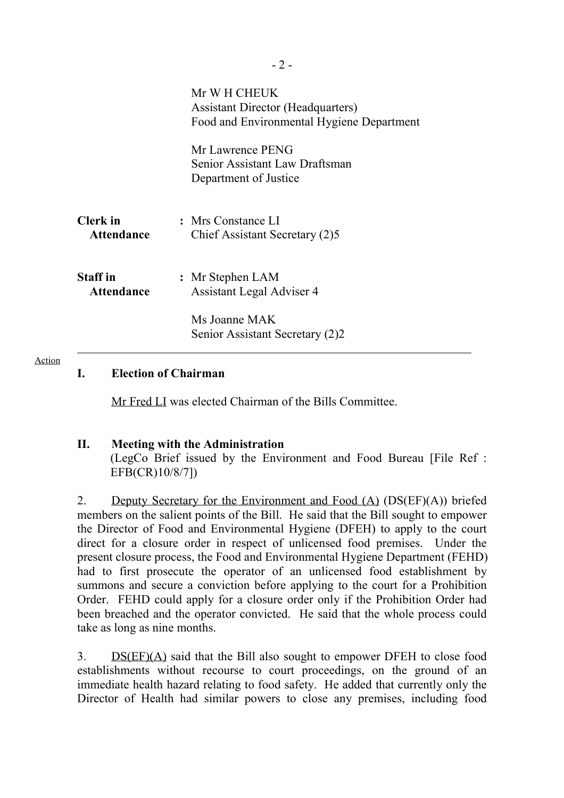|                                      | Mr W H CHEUK<br><b>Assistant Director (Headquarters)</b><br>Food and Environmental Hygiene Department |
|--------------------------------------|-------------------------------------------------------------------------------------------------------|
|                                      | Mr Lawrence PENG<br>Senior Assistant Law Draftsman<br>Department of Justice                           |
| <b>Clerk</b> in<br>Attendance        | : Mrs Constance LI<br>Chief Assistant Secretary (2)5                                                  |
| <b>Staff</b> in<br><b>Attendance</b> | : Mr Stephen LAM<br>Assistant Legal Adviser 4                                                         |
|                                      | Ms Joanne MAK<br>Senior Assistant Secretary (2)2                                                      |

## **I. Election of Chairman**

Mr Fred LI was elected Chairman of the Bills Committee.

## **II. Meeting with the Administration**

(LegCo Brief issued by the Environment and Food Bureau [File Ref : EFB(CR)10/8/7])

2. Deputy Secretary for the Environment and Food (A) (DS(EF)(A)) briefed members on the salient points of the Bill. He said that the Bill sought to empower the Director of Food and Environmental Hygiene (DFEH) to apply to the court direct for a closure order in respect of unlicensed food premises. Under the present closure process, the Food and Environmental Hygiene Department (FEHD) had to first prosecute the operator of an unlicensed food establishment by summons and secure a conviction before applying to the court for a Prohibition Order. FEHD could apply for a closure order only if the Prohibition Order had been breached and the operator convicted. He said that the whole process could take as long as nine months.

3. DS(EF)(A) said that the Bill also sought to empower DFEH to close food establishments without recourse to court proceedings, on the ground of an immediate health hazard relating to food safety. He added that currently only the Director of Health had similar powers to close any premises, including food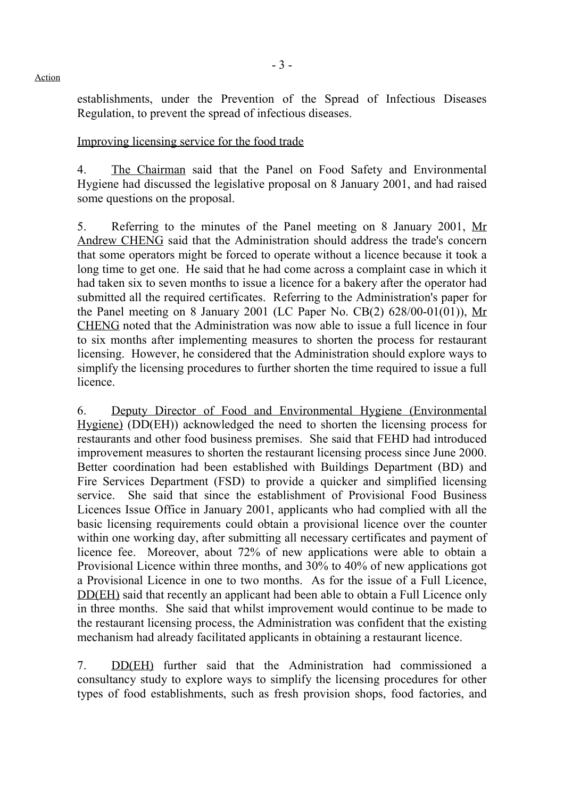establishments, under the Prevention of the Spread of Infectious Diseases Regulation, to prevent the spread of infectious diseases.

Improving licensing service for the food trade

4. The Chairman said that the Panel on Food Safety and Environmental Hygiene had discussed the legislative proposal on 8 January 2001, and had raised some questions on the proposal.

5. Referring to the minutes of the Panel meeting on 8 January 2001, Mr Andrew CHENG said that the Administration should address the trade's concern that some operators might be forced to operate without a licence because it took a long time to get one. He said that he had come across a complaint case in which it had taken six to seven months to issue a licence for a bakery after the operator had submitted all the required certificates. Referring to the Administration's paper for the Panel meeting on 8 January 2001 (LC Paper No. CB $(2)$  628/00-01 $(01)$ ), Mr CHENG noted that the Administration was now able to issue a full licence in four to six months after implementing measures to shorten the process for restaurant licensing. However, he considered that the Administration should explore ways to simplify the licensing procedures to further shorten the time required to issue a full licence.

6. Deputy Director of Food and Environmental Hygiene (Environmental Hygiene) (DD(EH)) acknowledged the need to shorten the licensing process for restaurants and other food business premises. She said that FEHD had introduced improvement measures to shorten the restaurant licensing process since June 2000. Better coordination had been established with Buildings Department (BD) and Fire Services Department (FSD) to provide a quicker and simplified licensing service. She said that since the establishment of Provisional Food Business Licences Issue Office in January 2001, applicants who had complied with all the basic licensing requirements could obtain a provisional licence over the counter within one working day, after submitting all necessary certificates and payment of licence fee. Moreover, about 72% of new applications were able to obtain a Provisional Licence within three months, and 30% to 40% of new applications got a Provisional Licence in one to two months. As for the issue of a Full Licence, DD(EH) said that recently an applicant had been able to obtain a Full Licence only in three months. She said that whilst improvement would continue to be made to the restaurant licensing process, the Administration was confident that the existing mechanism had already facilitated applicants in obtaining a restaurant licence.

7. DD(EH) further said that the Administration had commissioned a consultancy study to explore ways to simplify the licensing procedures for other types of food establishments, such as fresh provision shops, food factories, and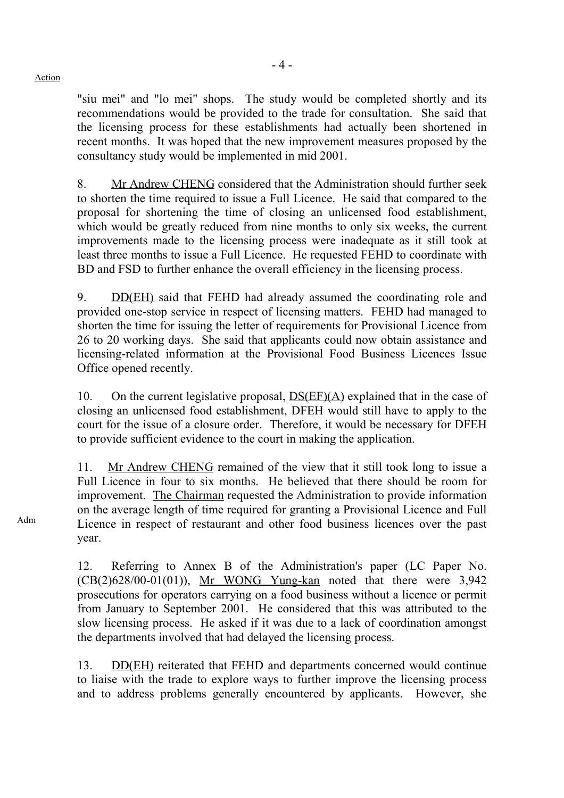"siu mei" and "lo mei" shops. The study would be completed shortly and its recommendations would be provided to the trade for consultation. She said that the licensing process for these establishments had actually been shortened in recent months. It was hoped that the new improvement measures proposed by the consultancy study would be implemented in mid 2001.

8. Mr Andrew CHENG considered that the Administration should further seek to shorten the time required to issue a Full Licence. He said that compared to the proposal for shortening the time of closing an unlicensed food establishment, which would be greatly reduced from nine months to only six weeks, the current improvements made to the licensing process were inadequate as it still took at least three months to issue a Full Licence. He requested FEHD to coordinate with BD and FSD to further enhance the overall efficiency in the licensing process.

9. DD(EH) said that FEHD had already assumed the coordinating role and provided one-stop service in respect of licensing matters. FEHD had managed to shorten the time for issuing the letter of requirements for Provisional Licence from 26 to 20 working days. She said that applicants could now obtain assistance and licensing-related information at the Provisional Food Business Licences Issue Office opened recently.

10. On the current legislative proposal, DS(EF)(A) explained that in the case of closing an unlicensed food establishment, DFEH would still have to apply to the court for the issue of a closure order. Therefore, it would be necessary for DFEH to provide sufficient evidence to the court in making the application.

11. Mr Andrew CHENG remained of the view that it still took long to issue a Full Licence in four to six months. He believed that there should be room for improvement. The Chairman requested the Administration to provide information on the average length of time required for granting a Provisional Licence and Full Licence in respect of restaurant and other food business licences over the past year.

12. Referring to Annex B of the Administration's paper (LC Paper No.  $(CB(2)628/00-01(01))$ , Mr WONG Yung-kan noted that there were 3,942 prosecutions for operators carrying on a food business without a licence or permit from January to September 2001. He considered that this was attributed to the slow licensing process. He asked if it was due to a lack of coordination amongst the departments involved that had delayed the licensing process.

13. DD(EH) reiterated that FEHD and departments concerned would continue to liaise with the trade to explore ways to further improve the licensing process and to address problems generally encountered by applicants. However, she

Adm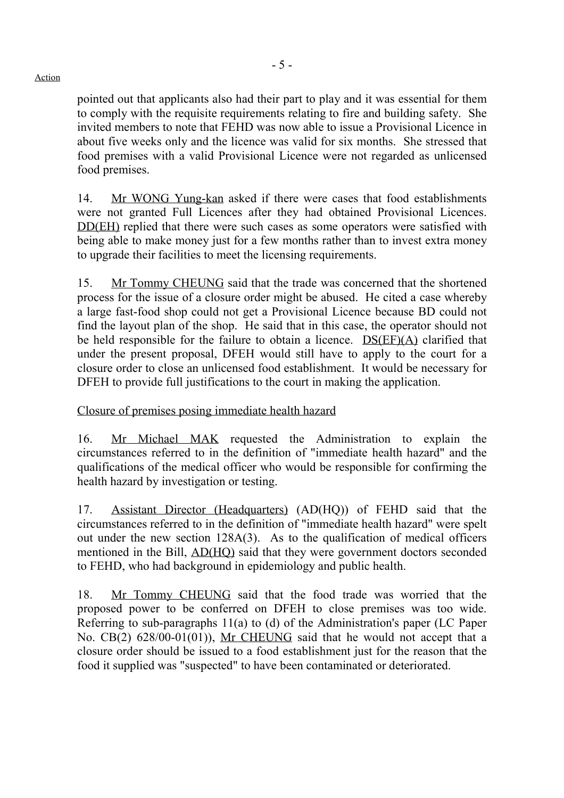pointed out that applicants also had their part to play and it was essential for them to comply with the requisite requirements relating to fire and building safety. She invited members to note that FEHD was now able to issue a Provisional Licence in about five weeks only and the licence was valid for six months. She stressed that food premises with a valid Provisional Licence were not regarded as unlicensed food premises.

14. Mr WONG Yung-kan asked if there were cases that food establishments were not granted Full Licences after they had obtained Provisional Licences. DD(EH) replied that there were such cases as some operators were satisfied with being able to make money just for a few months rather than to invest extra money to upgrade their facilities to meet the licensing requirements.

15. Mr Tommy CHEUNG said that the trade was concerned that the shortened process for the issue of a closure order might be abused. He cited a case whereby a large fast-food shop could not get a Provisional Licence because BD could not find the layout plan of the shop. He said that in this case, the operator should not be held responsible for the failure to obtain a licence. DS(EF)(A) clarified that under the present proposal, DFEH would still have to apply to the court for a closure order to close an unlicensed food establishment. It would be necessary for DFEH to provide full justifications to the court in making the application.

Closure of premises posing immediate health hazard

16. Mr Michael MAK requested the Administration to explain the circumstances referred to in the definition of "immediate health hazard" and the qualifications of the medical officer who would be responsible for confirming the health hazard by investigation or testing.

17. Assistant Director (Headquarters) (AD(HQ)) of FEHD said that the circumstances referred to in the definition of "immediate health hazard" were spelt out under the new section 128A(3). As to the qualification of medical officers mentioned in the Bill, AD(HQ) said that they were government doctors seconded to FEHD, who had background in epidemiology and public health.

18. Mr Tommy CHEUNG said that the food trade was worried that the proposed power to be conferred on DFEH to close premises was too wide. Referring to sub-paragraphs 11(a) to (d) of the Administration's paper (LC Paper No. CB(2) 628/00-01(01)), Mr CHEUNG said that he would not accept that a closure order should be issued to a food establishment just for the reason that the food it supplied was "suspected" to have been contaminated or deteriorated.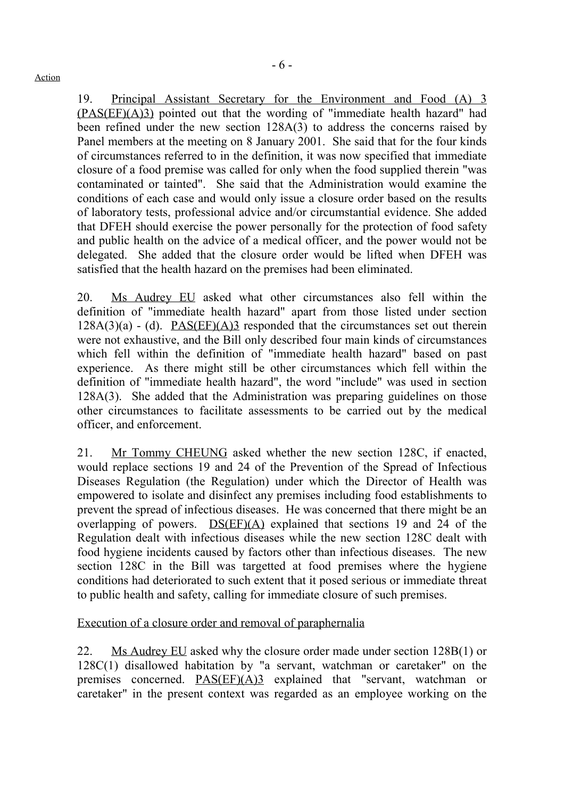19. Principal Assistant Secretary for the Environment and Food (A) 3 (PAS(EF)(A)3) pointed out that the wording of "immediate health hazard" had been refined under the new section 128A(3) to address the concerns raised by Panel members at the meeting on 8 January 2001. She said that for the four kinds of circumstances referred to in the definition, it was now specified that immediate closure of a food premise was called for only when the food supplied therein "was contaminated or tainted". She said that the Administration would examine the conditions of each case and would only issue a closure order based on the results of laboratory tests, professional advice and/or circumstantial evidence. She added that DFEH should exercise the power personally for the protection of food safety and public health on the advice of a medical officer, and the power would not be delegated. She added that the closure order would be lifted when DFEH was satisfied that the health hazard on the premises had been eliminated.

20. Ms Audrey EU asked what other circumstances also fell within the definition of "immediate health hazard" apart from those listed under section  $128A(3)(a) - (d)$ . PAS(EF)(A)3 responded that the circumstances set out therein were not exhaustive, and the Bill only described four main kinds of circumstances which fell within the definition of "immediate health hazard" based on past experience. As there might still be other circumstances which fell within the definition of "immediate health hazard", the word "include" was used in section 128A(3). She added that the Administration was preparing guidelines on those other circumstances to facilitate assessments to be carried out by the medical officer, and enforcement.

21. Mr Tommy CHEUNG asked whether the new section 128C, if enacted, would replace sections 19 and 24 of the Prevention of the Spread of Infectious Diseases Regulation (the Regulation) under which the Director of Health was empowered to isolate and disinfect any premises including food establishments to prevent the spread of infectious diseases. He was concerned that there might be an overlapping of powers. DS(EF)(A) explained that sections 19 and 24 of the Regulation dealt with infectious diseases while the new section 128C dealt with food hygiene incidents caused by factors other than infectious diseases. The new section 128C in the Bill was targetted at food premises where the hygiene conditions had deteriorated to such extent that it posed serious or immediate threat to public health and safety, calling for immediate closure of such premises.

Execution of a closure order and removal of paraphernalia

22. Ms Audrey EU asked why the closure order made under section 128B(1) or 128C(1) disallowed habitation by "a servant, watchman or caretaker" on the premises concerned. PAS(EF)(A)3 explained that "servant, watchman or caretaker" in the present context was regarded as an employee working on the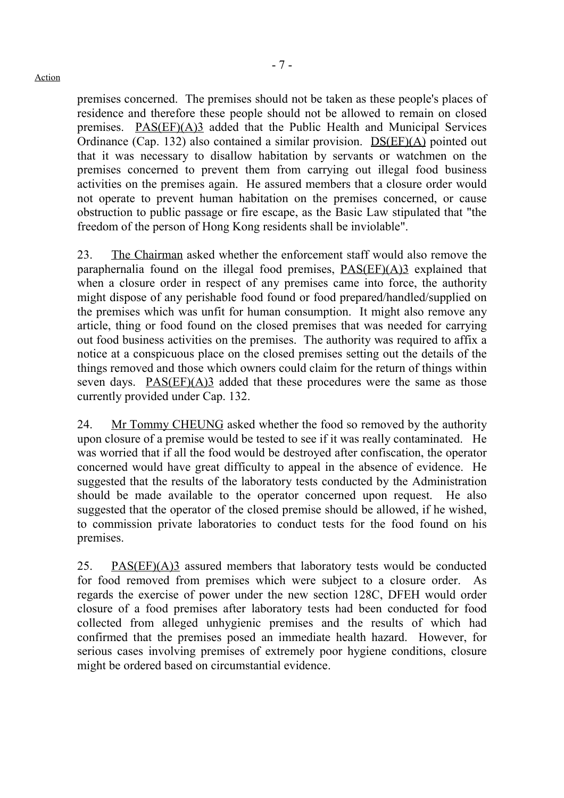premises concerned. The premises should not be taken as these people's places of residence and therefore these people should not be allowed to remain on closed premises. PAS(EF)(A)3 added that the Public Health and Municipal Services Ordinance (Cap. 132) also contained a similar provision. DS(EF)(A) pointed out that it was necessary to disallow habitation by servants or watchmen on the premises concerned to prevent them from carrying out illegal food business activities on the premises again. He assured members that a closure order would not operate to prevent human habitation on the premises concerned, or cause obstruction to public passage or fire escape, as the Basic Law stipulated that "the freedom of the person of Hong Kong residents shall be inviolable".

23. The Chairman asked whether the enforcement staff would also remove the paraphernalia found on the illegal food premises, PAS(EF)(A)3 explained that when a closure order in respect of any premises came into force, the authority might dispose of any perishable food found or food prepared/handled/supplied on the premises which was unfit for human consumption. It might also remove any article, thing or food found on the closed premises that was needed for carrying out food business activities on the premises. The authority was required to affix a notice at a conspicuous place on the closed premises setting out the details of the things removed and those which owners could claim for the return of things within seven days.  $PAS(EF)(A)3$  added that these procedures were the same as those currently provided under Cap. 132.

24. Mr Tommy CHEUNG asked whether the food so removed by the authority upon closure of a premise would be tested to see if it was really contaminated. He was worried that if all the food would be destroyed after confiscation, the operator concerned would have great difficulty to appeal in the absence of evidence. He suggested that the results of the laboratory tests conducted by the Administration should be made available to the operator concerned upon request. He also suggested that the operator of the closed premise should be allowed, if he wished, to commission private laboratories to conduct tests for the food found on his premises.

25. PAS(EF)(A)3 assured members that laboratory tests would be conducted for food removed from premises which were subject to a closure order. As regards the exercise of power under the new section 128C, DFEH would order closure of a food premises after laboratory tests had been conducted for food collected from alleged unhygienic premises and the results of which had confirmed that the premises posed an immediate health hazard. However, for serious cases involving premises of extremely poor hygiene conditions, closure might be ordered based on circumstantial evidence.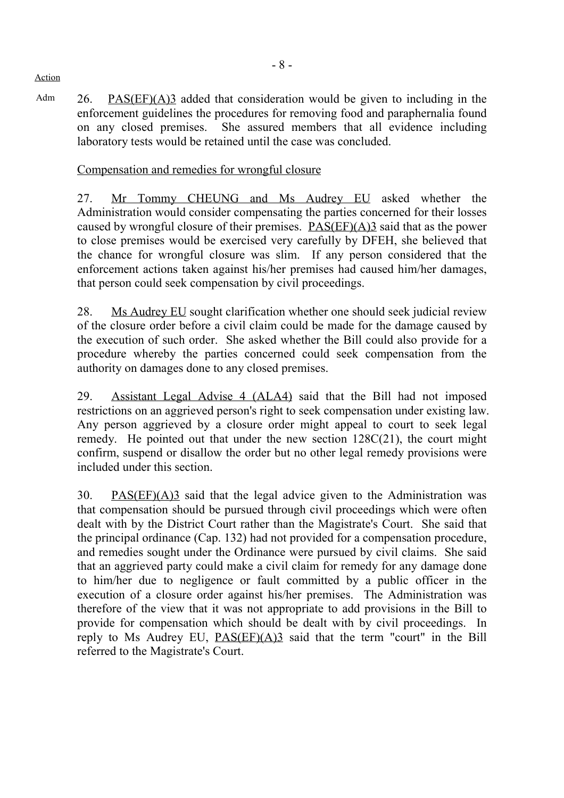Adm 26. PAS(EF)(A)3 added that consideration would be given to including in the enforcement guidelines the procedures for removing food and paraphernalia found on any closed premises. She assured members that all evidence including laboratory tests would be retained until the case was concluded.

## Compensation and remedies for wrongful closure

27. Mr Tommy CHEUNG and Ms Audrey EU asked whether the Administration would consider compensating the parties concerned for their losses caused by wrongful closure of their premises. PAS(EF)(A)3 said that as the power to close premises would be exercised very carefully by DFEH, she believed that the chance for wrongful closure was slim. If any person considered that the enforcement actions taken against his/her premises had caused him/her damages, that person could seek compensation by civil proceedings.

28. Ms Audrey EU sought clarification whether one should seek judicial review of the closure order before a civil claim could be made for the damage caused by the execution of such order. She asked whether the Bill could also provide for a procedure whereby the parties concerned could seek compensation from the authority on damages done to any closed premises.

29. Assistant Legal Advise 4 (ALA4) said that the Bill had not imposed restrictions on an aggrieved person's right to seek compensation under existing law. Any person aggrieved by a closure order might appeal to court to seek legal remedy. He pointed out that under the new section  $128C(21)$ , the court might confirm, suspend or disallow the order but no other legal remedy provisions were included under this section.

30. PAS(EF)(A)3 said that the legal advice given to the Administration was that compensation should be pursued through civil proceedings which were often dealt with by the District Court rather than the Magistrate's Court. She said that the principal ordinance (Cap. 132) had not provided for a compensation procedure, and remedies sought under the Ordinance were pursued by civil claims. She said that an aggrieved party could make a civil claim for remedy for any damage done to him/her due to negligence or fault committed by a public officer in the execution of a closure order against his/her premises. The Administration was therefore of the view that it was not appropriate to add provisions in the Bill to provide for compensation which should be dealt with by civil proceedings. In reply to Ms Audrey EU,  $PAS(EF)(A)3$  said that the term "court" in the Bill referred to the Magistrate's Court.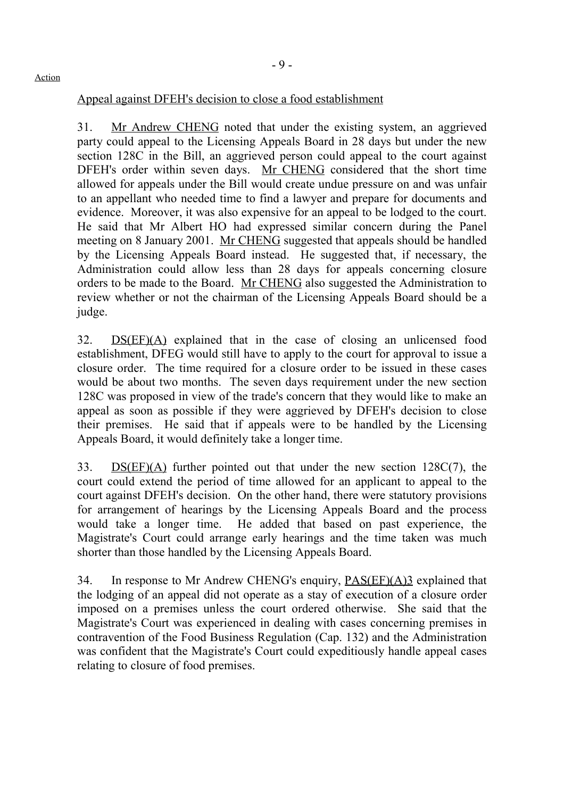# Appeal against DFEH's decision to close a food establishment

31. Mr Andrew CHENG noted that under the existing system, an aggrieved party could appeal to the Licensing Appeals Board in 28 days but under the new section 128C in the Bill, an aggrieved person could appeal to the court against DFEH's order within seven days. Mr CHENG considered that the short time allowed for appeals under the Bill would create undue pressure on and was unfair to an appellant who needed time to find a lawyer and prepare for documents and evidence. Moreover, it was also expensive for an appeal to be lodged to the court. He said that Mr Albert HO had expressed similar concern during the Panel meeting on 8 January 2001. Mr CHENG suggested that appeals should be handled by the Licensing Appeals Board instead. He suggested that, if necessary, the Administration could allow less than 28 days for appeals concerning closure orders to be made to the Board. Mr CHENG also suggested the Administration to review whether or not the chairman of the Licensing Appeals Board should be a judge.

32. DS(EF)(A) explained that in the case of closing an unlicensed food establishment, DFEG would still have to apply to the court for approval to issue a closure order. The time required for a closure order to be issued in these cases would be about two months. The seven days requirement under the new section 128C was proposed in view of the trade's concern that they would like to make an appeal as soon as possible if they were aggrieved by DFEH's decision to close their premises. He said that if appeals were to be handled by the Licensing Appeals Board, it would definitely take a longer time.

33. DS(EF)(A) further pointed out that under the new section 128C(7), the court could extend the period of time allowed for an applicant to appeal to the court against DFEH's decision. On the other hand, there were statutory provisions for arrangement of hearings by the Licensing Appeals Board and the process would take a longer time. He added that based on past experience, the Magistrate's Court could arrange early hearings and the time taken was much shorter than those handled by the Licensing Appeals Board.

34. In response to Mr Andrew CHENG's enquiry, PAS(EF)(A)3 explained that the lodging of an appeal did not operate as a stay of execution of a closure order imposed on a premises unless the court ordered otherwise. She said that the Magistrate's Court was experienced in dealing with cases concerning premises in contravention of the Food Business Regulation (Cap. 132) and the Administration was confident that the Magistrate's Court could expeditiously handle appeal cases relating to closure of food premises.

### Action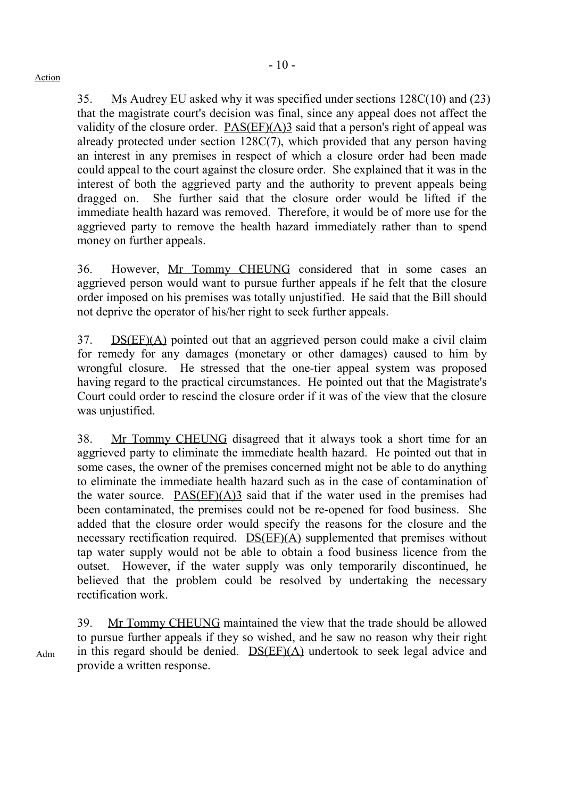35. Ms Audrey EU asked why it was specified under sections 128C(10) and (23) that the magistrate court's decision was final, since any appeal does not affect the validity of the closure order.  $PAS(EF)(A)3$  said that a person's right of appeal was already protected under section 128C(7), which provided that any person having an interest in any premises in respect of which a closure order had been made could appeal to the court against the closure order. She explained that it was in the interest of both the aggrieved party and the authority to prevent appeals being dragged on. She further said that the closure order would be lifted if the immediate health hazard was removed. Therefore, it would be of more use for the aggrieved party to remove the health hazard immediately rather than to spend money on further appeals.

36. However, Mr Tommy CHEUNG considered that in some cases an aggrieved person would want to pursue further appeals if he felt that the closure order imposed on his premises was totally unjustified. He said that the Bill should not deprive the operator of his/her right to seek further appeals.

37. DS(EF)(A) pointed out that an aggrieved person could make a civil claim for remedy for any damages (monetary or other damages) caused to him by wrongful closure. He stressed that the one-tier appeal system was proposed having regard to the practical circumstances. He pointed out that the Magistrate's Court could order to rescind the closure order if it was of the view that the closure was unjustified.

38. Mr Tommy CHEUNG disagreed that it always took a short time for an aggrieved party to eliminate the immediate health hazard. He pointed out that in some cases, the owner of the premises concerned might not be able to do anything to eliminate the immediate health hazard such as in the case of contamination of the water source. PAS(EF)(A)3 said that if the water used in the premises had been contaminated, the premises could not be re-opened for food business. She added that the closure order would specify the reasons for the closure and the necessary rectification required. DS(EF)(A) supplemented that premises without tap water supply would not be able to obtain a food business licence from the outset. However, if the water supply was only temporarily discontinued, he believed that the problem could be resolved by undertaking the necessary rectification work.

39. Mr Tommy CHEUNG maintained the view that the trade should be allowed to pursue further appeals if they so wished, and he saw no reason why their right in this regard should be denied. DS(EF)(A) undertook to seek legal advice and provide a written response.

Adm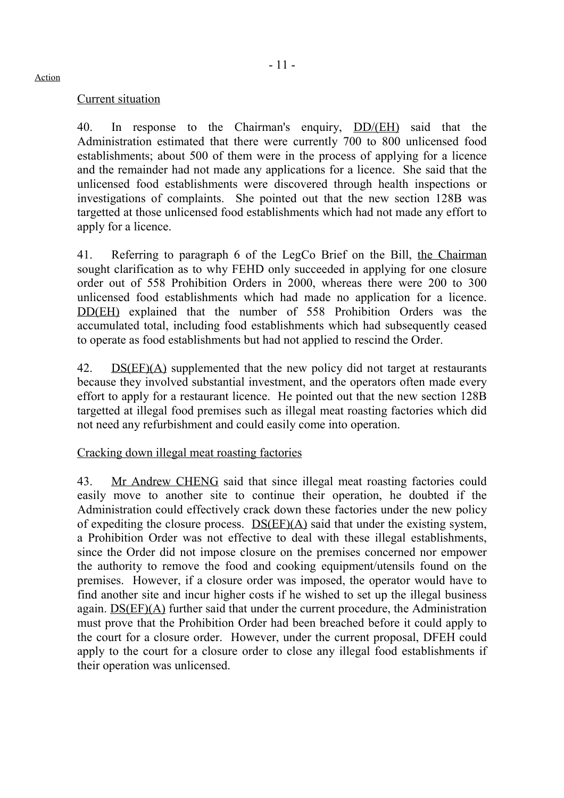## Current situation

40. In response to the Chairman's enquiry, DD/(EH) said that the Administration estimated that there were currently 700 to 800 unlicensed food establishments; about 500 of them were in the process of applying for a licence and the remainder had not made any applications for a licence. She said that the unlicensed food establishments were discovered through health inspections or investigations of complaints. She pointed out that the new section 128B was targetted at those unlicensed food establishments which had not made any effort to apply for a licence.

41. Referring to paragraph 6 of the LegCo Brief on the Bill, the Chairman sought clarification as to why FEHD only succeeded in applying for one closure order out of 558 Prohibition Orders in 2000, whereas there were 200 to 300 unlicensed food establishments which had made no application for a licence. DD(EH) explained that the number of 558 Prohibition Orders was the accumulated total, including food establishments which had subsequently ceased to operate as food establishments but had not applied to rescind the Order.

42. DS(EF)(A) supplemented that the new policy did not target at restaurants because they involved substantial investment, and the operators often made every effort to apply for a restaurant licence. He pointed out that the new section 128B targetted at illegal food premises such as illegal meat roasting factories which did not need any refurbishment and could easily come into operation.

# Cracking down illegal meat roasting factories

43. Mr Andrew CHENG said that since illegal meat roasting factories could easily move to another site to continue their operation, he doubted if the Administration could effectively crack down these factories under the new policy of expediting the closure process. DS(EF)(A) said that under the existing system, a Prohibition Order was not effective to deal with these illegal establishments, since the Order did not impose closure on the premises concerned nor empower the authority to remove the food and cooking equipment/utensils found on the premises. However, if a closure order was imposed, the operator would have to find another site and incur higher costs if he wished to set up the illegal business again. DS(EF)(A) further said that under the current procedure, the Administration must prove that the Prohibition Order had been breached before it could apply to the court for a closure order. However, under the current proposal, DFEH could apply to the court for a closure order to close any illegal food establishments if their operation was unlicensed.

#### Action